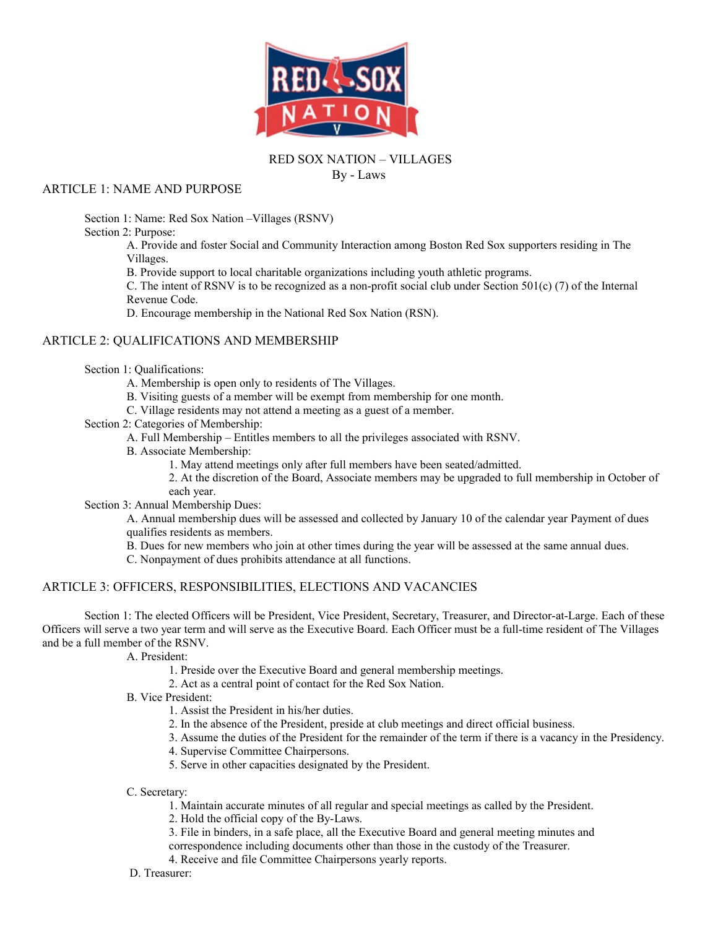

# RED SOX NATION – VILLAGES By - Laws

# ARTICLE 1: NAME AND PURPOSE

Section 1: Name: Red Sox Nation –Villages (RSNV)

Section 2: Purpose:

A. Provide and foster Social and Community Interaction among Boston Red Sox supporters residing in The Villages.

B. Provide support to local charitable organizations including youth athletic programs.

C. The intent of RSNV is to be recognized as a non-profit social club under Section 501(c) (7) of the Internal Revenue Code.

D. Encourage membership in the National Red Sox Nation (RSN).

# ARTICLE 2: QUALIFICATIONS AND MEMBERSHIP

Section 1: Qualifications:

- A. Membership is open only to residents of The Villages.
- B. Visiting guests of a member will be exempt from membership for one month.
- C. Village residents may not attend a meeting as a guest of a member.

Section 2: Categories of Membership:

- A. Full Membership Entitles members to all the privileges associated with RSNV.
- B. Associate Membership:
	- 1. May attend meetings only after full members have been seated/admitted.
	- 2. At the discretion of the Board, Associate members may be upgraded to full membership in October of each year.

Section 3: Annual Membership Dues:

A. Annual membership dues will be assessed and collected by January 10 of the calendar year Payment of dues qualifies residents as members.

- B. Dues for new members who join at other times during the year will be assessed at the same annual dues.
- C. Nonpayment of dues prohibits attendance at all functions.

# ARTICLE 3: OFFICERS, RESPONSIBILITIES, ELECTIONS AND VACANCIES

Section 1: The elected Officers will be President, Vice President, Secretary, Treasurer, and Director-at-Large. Each of these Officers will serve a two year term and will serve as the Executive Board. Each Officer must be a full-time resident of The Villages and be a full member of the RSNV.

A. President:

- 1. Preside over the Executive Board and general membership meetings.
- 2. Act as a central point of contact for the Red Sox Nation.

B. Vice President:

- 1. Assist the President in his/her duties.
- 2. In the absence of the President, preside at club meetings and direct official business.
- 3. Assume the duties of the President for the remainder of the term if there is a vacancy in the Presidency.
- 4. Supervise Committee Chairpersons.
- 5. Serve in other capacities designated by the President.
- C. Secretary:
	- 1. Maintain accurate minutes of all regular and special meetings as called by the President.
	- 2. Hold the official copy of the By-Laws.
	- 3. File in binders, in a safe place, all the Executive Board and general meeting minutes and correspondence including documents other than those in the custody of the Treasurer.
	- 4. Receive and file Committee Chairpersons yearly reports.
- D. Treasurer: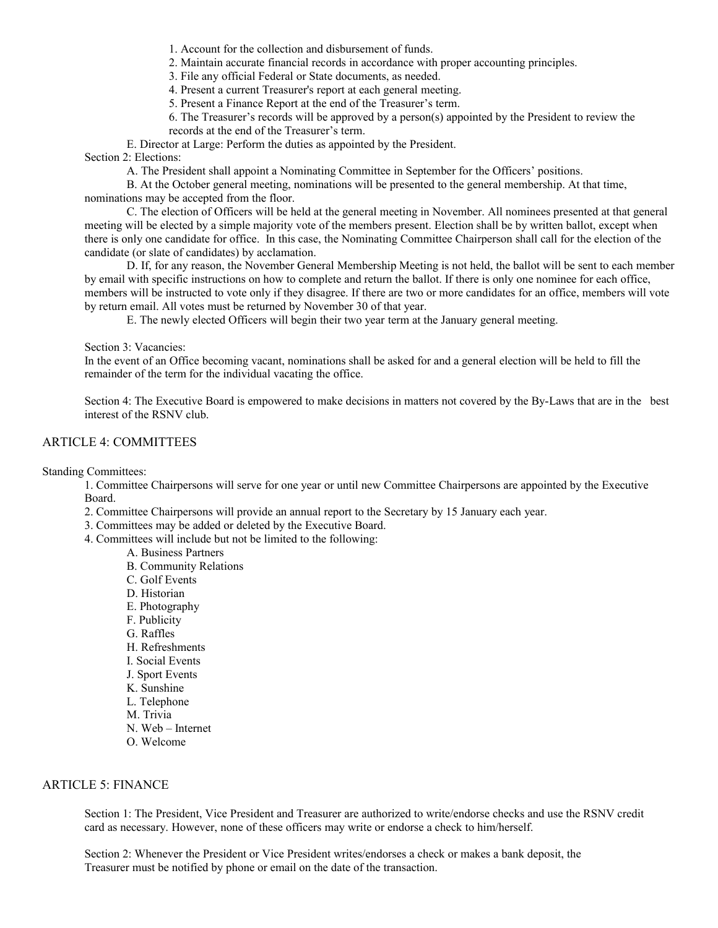- 1. Account for the collection and disbursement of funds.
- 2. Maintain accurate financial records in accordance with proper accounting principles.
- 3. File any official Federal or State documents, as needed.
- 4. Present a current Treasurer's report at each general meeting.
- 5. Present a Finance Report at the end of the Treasurer's term.
- 6. The Treasurer's records will be approved by a person(s) appointed by the President to review the records at the end of the Treasurer's term.
- E. Director at Large: Perform the duties as appointed by the President.

Section 2: Elections:

A. The President shall appoint a Nominating Committee in September for the Officers' positions.

B. At the October general meeting, nominations will be presented to the general membership. At that time, nominations may be accepted from the floor.

C. The election of Officers will be held at the general meeting in November. All nominees presented at that general meeting will be elected by a simple majority vote of the members present. Election shall be by written ballot, except when there is only one candidate for office. In this case, the Nominating Committee Chairperson shall call for the election of the candidate (or slate of candidates) by acclamation.

D. If, for any reason, the November General Membership Meeting is not held, the ballot will be sent to each member by email with specific instructions on how to complete and return the ballot. If there is only one nominee for each office, members will be instructed to vote only if they disagree. If there are two or more candidates for an office, members will vote by return email. All votes must be returned by November 30 of that year.

E. The newly elected Officers will begin their two year term at the January general meeting.

Section 3: Vacancies:

In the event of an Office becoming vacant, nominations shall be asked for and a general election will be held to fill the remainder of the term for the individual vacating the office.

Section 4: The Executive Board is empowered to make decisions in matters not covered by the By-Laws that are in the best interest of the RSNV club.

#### ARTICLE 4: COMMITTEES

Standing Committees:

1. Committee Chairpersons will serve for one year or until new Committee Chairpersons are appointed by the Executive Board.

2. Committee Chairpersons will provide an annual report to the Secretary by 15 January each year.

- 3. Committees may be added or deleted by the Executive Board.
- 4. Committees will include but not be limited to the following:
	- A. Business Partners
		- B. Community Relations
		- C. Golf Events
		- D. Historian
		- E. Photography
		- F. Publicity
		- G. Raffles
		- H. Refreshments
		- I. Social Events
		- J. Sport Events
		- K. Sunshine
		- L. Telephone
		- M. Trivia
		- N. Web Internet
		- O. Welcome

# ARTICLE 5: FINANCE

Section 1: The President, Vice President and Treasurer are authorized to write/endorse checks and use the RSNV credit card as necessary. However, none of these officers may write or endorse a check to him/herself.

Section 2: Whenever the President or Vice President writes/endorses a check or makes a bank deposit, the Treasurer must be notified by phone or email on the date of the transaction.